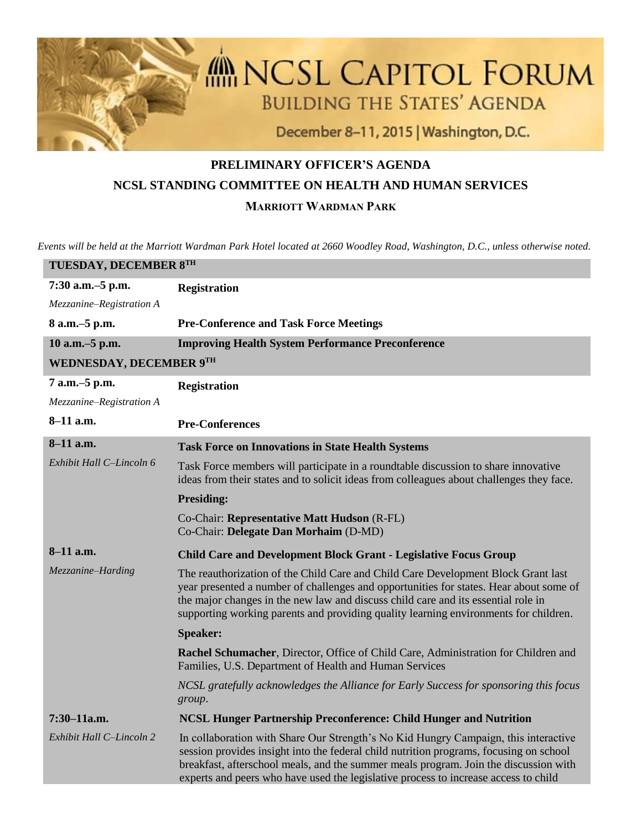

## **PRELIMINARY OFFICER'S AGENDA NCSL STANDING COMMITTEE ON HEALTH AND HUMAN SERVICES MARRIOTT WARDMAN PARK**

*Events will be held at the Marriott Wardman Park Hotel located at 2660 Woodley Road, Washington, D.C., unless otherwise noted.*

| TUESDAY, DECEMBER 8TH            |                                                                                                                                                                                                                                                                                                                                                              |  |
|----------------------------------|--------------------------------------------------------------------------------------------------------------------------------------------------------------------------------------------------------------------------------------------------------------------------------------------------------------------------------------------------------------|--|
| 7:30 a.m.-5 p.m.                 | <b>Registration</b>                                                                                                                                                                                                                                                                                                                                          |  |
| Mezzanine-Registration A         |                                                                                                                                                                                                                                                                                                                                                              |  |
| 8 a.m. - 5 p.m.                  | <b>Pre-Conference and Task Force Meetings</b>                                                                                                                                                                                                                                                                                                                |  |
| 10 a.m. - 5 p.m.                 | <b>Improving Health System Performance Preconference</b>                                                                                                                                                                                                                                                                                                     |  |
| WEDNESDAY, DECEMBER 9TH          |                                                                                                                                                                                                                                                                                                                                                              |  |
| 7 a.m.-5 p.m.                    | <b>Registration</b>                                                                                                                                                                                                                                                                                                                                          |  |
| Mezzanine-Registration A         |                                                                                                                                                                                                                                                                                                                                                              |  |
| 8-11 a.m.                        | <b>Pre-Conferences</b>                                                                                                                                                                                                                                                                                                                                       |  |
| 8-11 a.m.                        | <b>Task Force on Innovations in State Health Systems</b>                                                                                                                                                                                                                                                                                                     |  |
| Exhibit Hall C-Lincoln 6         | Task Force members will participate in a roundtable discussion to share innovative<br>ideas from their states and to solicit ideas from colleagues about challenges they face.                                                                                                                                                                               |  |
|                                  | <b>Presiding:</b>                                                                                                                                                                                                                                                                                                                                            |  |
|                                  | Co-Chair: Representative Matt Hudson (R-FL)<br>Co-Chair: Delegate Dan Morhaim (D-MD)                                                                                                                                                                                                                                                                         |  |
| $8-11$ a.m.<br>Mezzanine-Harding | <b>Child Care and Development Block Grant - Legislative Focus Group</b>                                                                                                                                                                                                                                                                                      |  |
|                                  | The reauthorization of the Child Care and Child Care Development Block Grant last<br>year presented a number of challenges and opportunities for states. Hear about some of<br>the major changes in the new law and discuss child care and its essential role in<br>supporting working parents and providing quality learning environments for children.     |  |
|                                  | <b>Speaker:</b>                                                                                                                                                                                                                                                                                                                                              |  |
|                                  | Rachel Schumacher, Director, Office of Child Care, Administration for Children and<br>Families, U.S. Department of Health and Human Services                                                                                                                                                                                                                 |  |
|                                  | NCSL gratefully acknowledges the Alliance for Early Success for sponsoring this focus<br>group.                                                                                                                                                                                                                                                              |  |
| $7:30-11a.m.$                    | NCSL Hunger Partnership Preconference: Child Hunger and Nutrition                                                                                                                                                                                                                                                                                            |  |
| Exhibit Hall C-Lincoln 2         | In collaboration with Share Our Strength's No Kid Hungry Campaign, this interactive<br>session provides insight into the federal child nutrition programs, focusing on school<br>breakfast, afterschool meals, and the summer meals program. Join the discussion with<br>experts and peers who have used the legislative process to increase access to child |  |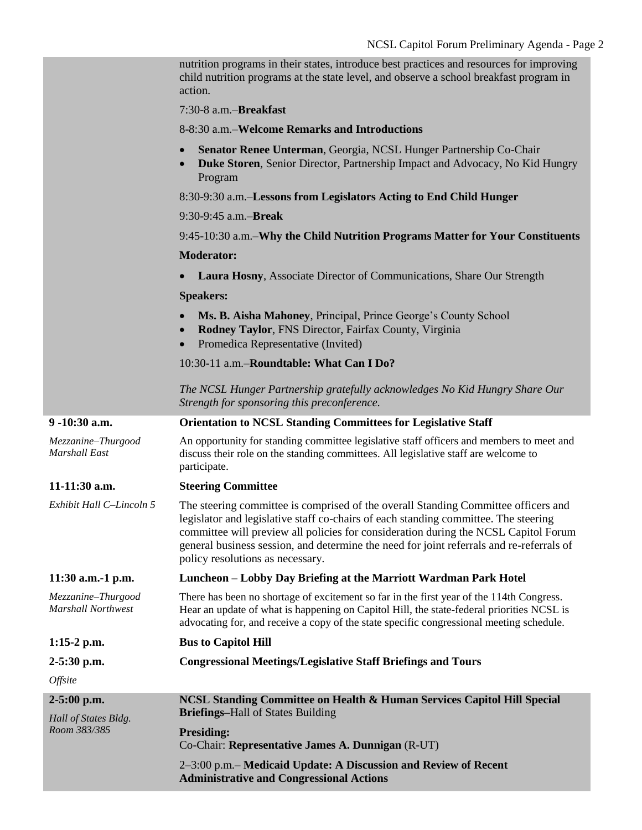|                                                       | nutrition programs in their states, introduce best practices and resources for improving<br>child nutrition programs at the state level, and observe a school breakfast program in<br>action.                                                                                                                                                                                                    |
|-------------------------------------------------------|--------------------------------------------------------------------------------------------------------------------------------------------------------------------------------------------------------------------------------------------------------------------------------------------------------------------------------------------------------------------------------------------------|
|                                                       | 7:30-8 a.m.-Breakfast                                                                                                                                                                                                                                                                                                                                                                            |
|                                                       | 8-8:30 a.m.–Welcome Remarks and Introductions                                                                                                                                                                                                                                                                                                                                                    |
|                                                       | Senator Renee Unterman, Georgia, NCSL Hunger Partnership Co-Chair<br><b>Duke Storen</b> , Senior Director, Partnership Impact and Advocacy, No Kid Hungry<br>Program                                                                                                                                                                                                                             |
|                                                       | 8:30-9:30 a.m.-Lessons from Legislators Acting to End Child Hunger                                                                                                                                                                                                                                                                                                                               |
|                                                       | 9:30-9:45 a.m.-Break                                                                                                                                                                                                                                                                                                                                                                             |
|                                                       | 9:45-10:30 a.m.–Why the Child Nutrition Programs Matter for Your Constituents                                                                                                                                                                                                                                                                                                                    |
|                                                       | <b>Moderator:</b>                                                                                                                                                                                                                                                                                                                                                                                |
|                                                       | Laura Hosny, Associate Director of Communications, Share Our Strength                                                                                                                                                                                                                                                                                                                            |
|                                                       | <b>Speakers:</b>                                                                                                                                                                                                                                                                                                                                                                                 |
|                                                       | Ms. B. Aisha Mahoney, Principal, Prince George's County School<br>Rodney Taylor, FNS Director, Fairfax County, Virginia<br>Promedica Representative (Invited)                                                                                                                                                                                                                                    |
|                                                       | 10:30-11 a.m.-Roundtable: What Can I Do?                                                                                                                                                                                                                                                                                                                                                         |
|                                                       | The NCSL Hunger Partnership gratefully acknowledges No Kid Hungry Share Our<br>Strength for sponsoring this preconference.                                                                                                                                                                                                                                                                       |
| 9-10:30 a.m.                                          | <b>Orientation to NCSL Standing Committees for Legislative Staff</b>                                                                                                                                                                                                                                                                                                                             |
| Mezzanine-Thurgood<br>Marshall East                   | An opportunity for standing committee legislative staff officers and members to meet and<br>discuss their role on the standing committees. All legislative staff are welcome to<br>participate.                                                                                                                                                                                                  |
| 11-11:30 a.m.                                         | <b>Steering Committee</b>                                                                                                                                                                                                                                                                                                                                                                        |
| Exhibit Hall C-Lincoln 5                              | The steering committee is comprised of the overall Standing Committee officers and<br>legislator and legislative staff co-chairs of each standing committee. The steering<br>committee will preview all policies for consideration during the NCSL Capitol Forum<br>general business session, and determine the need for joint referrals and re-referrals of<br>policy resolutions as necessary. |
| $11:30$ a.m.-1 p.m.                                   | Luncheon – Lobby Day Briefing at the Marriott Wardman Park Hotel                                                                                                                                                                                                                                                                                                                                 |
| Mezzanine-Thurgood<br><b>Marshall Northwest</b>       | There has been no shortage of excitement so far in the first year of the 114th Congress.<br>Hear an update of what is happening on Capitol Hill, the state-federal priorities NCSL is<br>advocating for, and receive a copy of the state specific congressional meeting schedule.                                                                                                                |
| $1:15-2$ p.m.                                         | <b>Bus to Capitol Hill</b>                                                                                                                                                                                                                                                                                                                                                                       |
| $2 - 5:30$ p.m.                                       | <b>Congressional Meetings/Legislative Staff Briefings and Tours</b>                                                                                                                                                                                                                                                                                                                              |
| Offsite                                               |                                                                                                                                                                                                                                                                                                                                                                                                  |
| $2-5:00$ p.m.<br>Hall of States Bldg.<br>Room 383/385 | NCSL Standing Committee on Health & Human Services Capitol Hill Special<br><b>Briefings-Hall of States Building</b>                                                                                                                                                                                                                                                                              |
|                                                       | <b>Presiding:</b><br>Co-Chair: Representative James A. Dunnigan (R-UT)                                                                                                                                                                                                                                                                                                                           |
|                                                       | 2–3:00 p.m.– Medicaid Update: A Discussion and Review of Recent<br><b>Administrative and Congressional Actions</b>                                                                                                                                                                                                                                                                               |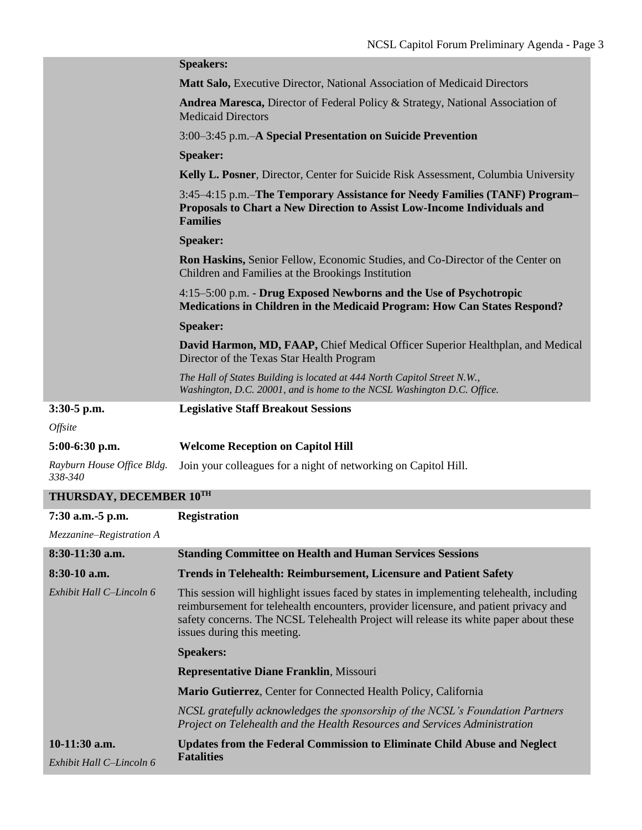|                                           | <b>Speakers:</b>                                                                                                                                                                                                                                                                                         |
|-------------------------------------------|----------------------------------------------------------------------------------------------------------------------------------------------------------------------------------------------------------------------------------------------------------------------------------------------------------|
|                                           | Matt Salo, Executive Director, National Association of Medicaid Directors                                                                                                                                                                                                                                |
|                                           | <b>Andrea Maresca, Director of Federal Policy &amp; Strategy, National Association of</b><br><b>Medicaid Directors</b>                                                                                                                                                                                   |
|                                           | 3:00–3:45 p.m.–A Special Presentation on Suicide Prevention                                                                                                                                                                                                                                              |
|                                           | <b>Speaker:</b>                                                                                                                                                                                                                                                                                          |
|                                           | Kelly L. Posner, Director, Center for Suicide Risk Assessment, Columbia University                                                                                                                                                                                                                       |
|                                           | 3:45–4:15 p.m.–The Temporary Assistance for Needy Families (TANF) Program–<br>Proposals to Chart a New Direction to Assist Low-Income Individuals and<br><b>Families</b>                                                                                                                                 |
|                                           | <b>Speaker:</b>                                                                                                                                                                                                                                                                                          |
|                                           | <b>Ron Haskins, Senior Fellow, Economic Studies, and Co-Director of the Center on</b><br>Children and Families at the Brookings Institution                                                                                                                                                              |
|                                           | 4:15–5:00 p.m. - Drug Exposed Newborns and the Use of Psychotropic<br><b>Medications in Children in the Medicaid Program: How Can States Respond?</b>                                                                                                                                                    |
|                                           | <b>Speaker:</b>                                                                                                                                                                                                                                                                                          |
|                                           | David Harmon, MD, FAAP, Chief Medical Officer Superior Healthplan, and Medical<br>Director of the Texas Star Health Program                                                                                                                                                                              |
|                                           | The Hall of States Building is located at 444 North Capitol Street N.W.,<br>Washington, D.C. 20001, and is home to the NCSL Washington D.C. Office.                                                                                                                                                      |
| $3:30-5$ p.m.                             | <b>Legislative Staff Breakout Sessions</b>                                                                                                                                                                                                                                                               |
| Offsite                                   |                                                                                                                                                                                                                                                                                                          |
| 5:00-6:30 p.m.                            | <b>Welcome Reception on Capitol Hill</b>                                                                                                                                                                                                                                                                 |
| Rayburn House Office Bldg.<br>338-340     | Join your colleagues for a night of networking on Capitol Hill.                                                                                                                                                                                                                                          |
| THURSDAY, DECEMBER 10TH                   |                                                                                                                                                                                                                                                                                                          |
| 7:30 a.m. -5 p.m.                         | <b>Registration</b>                                                                                                                                                                                                                                                                                      |
| Mezzanine-Registration A                  |                                                                                                                                                                                                                                                                                                          |
| 8:30-11:30 a.m.                           | <b>Standing Committee on Health and Human Services Sessions</b>                                                                                                                                                                                                                                          |
| 8:30-10 a.m.                              | <b>Trends in Telehealth: Reimbursement, Licensure and Patient Safety</b>                                                                                                                                                                                                                                 |
| Exhibit Hall C-Lincoln 6                  | This session will highlight issues faced by states in implementing telehealth, including<br>reimbursement for telehealth encounters, provider licensure, and patient privacy and<br>safety concerns. The NCSL Telehealth Project will release its white paper about these<br>issues during this meeting. |
|                                           | <b>Speakers:</b>                                                                                                                                                                                                                                                                                         |
|                                           | <b>Representative Diane Franklin, Missouri</b>                                                                                                                                                                                                                                                           |
|                                           | Mario Gutierrez, Center for Connected Health Policy, California                                                                                                                                                                                                                                          |
|                                           | NCSL gratefully acknowledges the sponsorship of the NCSL's Foundation Partners<br>Project on Telehealth and the Health Resources and Services Administration                                                                                                                                             |
| 10-11:30 a.m.<br>Exhibit Hall C-Lincoln 6 | <b>Updates from the Federal Commission to Eliminate Child Abuse and Neglect</b><br><b>Fatalities</b>                                                                                                                                                                                                     |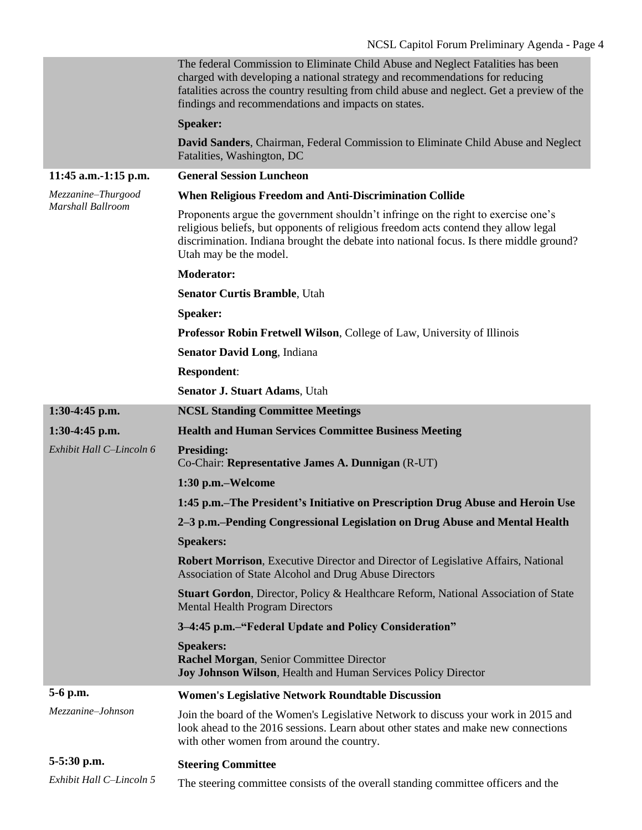|                                         | The federal Commission to Eliminate Child Abuse and Neglect Fatalities has been<br>charged with developing a national strategy and recommendations for reducing<br>fatalities across the country resulting from child abuse and neglect. Get a preview of the<br>findings and recommendations and impacts on states. |
|-----------------------------------------|----------------------------------------------------------------------------------------------------------------------------------------------------------------------------------------------------------------------------------------------------------------------------------------------------------------------|
|                                         | <b>Speaker:</b>                                                                                                                                                                                                                                                                                                      |
|                                         | <b>David Sanders, Chairman, Federal Commission to Eliminate Child Abuse and Neglect</b><br>Fatalities, Washington, DC                                                                                                                                                                                                |
| 11:45 a.m.-1:15 p.m.                    | <b>General Session Luncheon</b>                                                                                                                                                                                                                                                                                      |
| Mezzanine-Thurgood<br>Marshall Ballroom | When Religious Freedom and Anti-Discrimination Collide                                                                                                                                                                                                                                                               |
|                                         | Proponents argue the government shouldn't infringe on the right to exercise one's<br>religious beliefs, but opponents of religious freedom acts contend they allow legal<br>discrimination. Indiana brought the debate into national focus. Is there middle ground?<br>Utah may be the model.                        |
|                                         | <b>Moderator:</b>                                                                                                                                                                                                                                                                                                    |
|                                         | <b>Senator Curtis Bramble, Utah</b>                                                                                                                                                                                                                                                                                  |
|                                         | <b>Speaker:</b>                                                                                                                                                                                                                                                                                                      |
|                                         | <b>Professor Robin Fretwell Wilson, College of Law, University of Illinois</b>                                                                                                                                                                                                                                       |
|                                         | <b>Senator David Long, Indiana</b>                                                                                                                                                                                                                                                                                   |
|                                         | <b>Respondent:</b>                                                                                                                                                                                                                                                                                                   |
|                                         | <b>Senator J. Stuart Adams, Utah</b>                                                                                                                                                                                                                                                                                 |
| 1:30-4:45 p.m.                          | <b>NCSL Standing Committee Meetings</b>                                                                                                                                                                                                                                                                              |
|                                         |                                                                                                                                                                                                                                                                                                                      |
| 1:30-4:45 p.m.                          | <b>Health and Human Services Committee Business Meeting</b>                                                                                                                                                                                                                                                          |
| Exhibit Hall C-Lincoln 6                | <b>Presiding:</b><br>Co-Chair: Representative James A. Dunnigan (R-UT)                                                                                                                                                                                                                                               |
|                                         | 1:30 p.m.–Welcome                                                                                                                                                                                                                                                                                                    |
|                                         | 1:45 p.m.–The President's Initiative on Prescription Drug Abuse and Heroin Use                                                                                                                                                                                                                                       |
|                                         | 2–3 p.m.–Pending Congressional Legislation on Drug Abuse and Mental Health                                                                                                                                                                                                                                           |
|                                         | <b>Speakers:</b>                                                                                                                                                                                                                                                                                                     |
|                                         | <b>Robert Morrison</b> , Executive Director and Director of Legislative Affairs, National<br>Association of State Alcohol and Drug Abuse Directors                                                                                                                                                                   |
|                                         | <b>Stuart Gordon, Director, Policy &amp; Healthcare Reform, National Association of State</b><br><b>Mental Health Program Directors</b>                                                                                                                                                                              |
|                                         | 3-4:45 p.m.-"Federal Update and Policy Consideration"                                                                                                                                                                                                                                                                |
|                                         | <b>Speakers:</b><br>Rachel Morgan, Senior Committee Director<br>Joy Johnson Wilson, Health and Human Services Policy Director                                                                                                                                                                                        |
| 5-6 p.m.                                | <b>Women's Legislative Network Roundtable Discussion</b>                                                                                                                                                                                                                                                             |
| Mezzanine-Johnson                       | Join the board of the Women's Legislative Network to discuss your work in 2015 and<br>look ahead to the 2016 sessions. Learn about other states and make new connections<br>with other women from around the country.                                                                                                |
| 5-5:30 p.m.                             | <b>Steering Committee</b>                                                                                                                                                                                                                                                                                            |